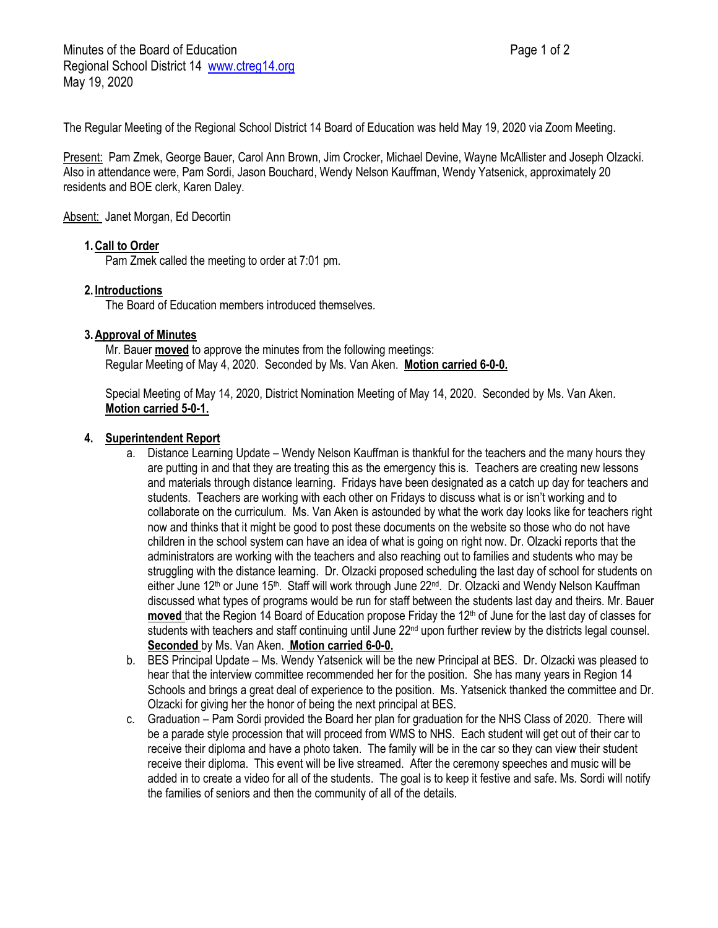The Regular Meeting of the Regional School District 14 Board of Education was held May 19, 2020 via Zoom Meeting.

Present: Pam Zmek, George Bauer, Carol Ann Brown, Jim Crocker, Michael Devine, Wayne McAllister and Joseph Olzacki. Also in attendance were, Pam Sordi, Jason Bouchard, Wendy Nelson Kauffman, Wendy Yatsenick, approximately 20 residents and BOE clerk, Karen Daley.

# Absent: Janet Morgan, Ed Decortin

# **1.Call to Order**

Pam Zmek called the meeting to order at 7:01 pm.

### **2. Introductions**

The Board of Education members introduced themselves.

# **3.Approval of Minutes**

Mr. Bauer **moved** to approve the minutes from the following meetings: Regular Meeting of May 4, 2020. Seconded by Ms. Van Aken. **Motion carried 6-0-0.**

Special Meeting of May 14, 2020, District Nomination Meeting of May 14, 2020. Seconded by Ms. Van Aken. **Motion carried 5-0-1.**

### **4. Superintendent Report**

- a. Distance Learning Update Wendy Nelson Kauffman is thankful for the teachers and the many hours they are putting in and that they are treating this as the emergency this is. Teachers are creating new lessons and materials through distance learning. Fridays have been designated as a catch up day for teachers and students. Teachers are working with each other on Fridays to discuss what is or isn't working and to collaborate on the curriculum. Ms. Van Aken is astounded by what the work day looks like for teachers right now and thinks that it might be good to post these documents on the website so those who do not have children in the school system can have an idea of what is going on right now. Dr. Olzacki reports that the administrators are working with the teachers and also reaching out to families and students who may be struggling with the distance learning. Dr. Olzacki proposed scheduling the last day of school for students on either June 12<sup>th</sup> or June 15<sup>th</sup>. Staff will work through June 22<sup>nd</sup>. Dr. Olzacki and Wendy Nelson Kauffman discussed what types of programs would be run for staff between the students last day and theirs. Mr. Bauer **moved** that the Region 14 Board of Education propose Friday the 12<sup>th</sup> of June for the last day of classes for students with teachers and staff continuing until June 22<sup>nd</sup> upon further review by the districts legal counsel. **Seconded** by Ms. Van Aken. **Motion carried 6-0-0.**
- b. BES Principal Update Ms. Wendy Yatsenick will be the new Principal at BES. Dr. Olzacki was pleased to hear that the interview committee recommended her for the position. She has many years in Region 14 Schools and brings a great deal of experience to the position. Ms. Yatsenick thanked the committee and Dr. Olzacki for giving her the honor of being the next principal at BES.
- c. Graduation Pam Sordi provided the Board her plan for graduation for the NHS Class of 2020. There will be a parade style procession that will proceed from WMS to NHS. Each student will get out of their car to receive their diploma and have a photo taken. The family will be in the car so they can view their student receive their diploma. This event will be live streamed. After the ceremony speeches and music will be added in to create a video for all of the students. The goal is to keep it festive and safe. Ms. Sordi will notify the families of seniors and then the community of all of the details.